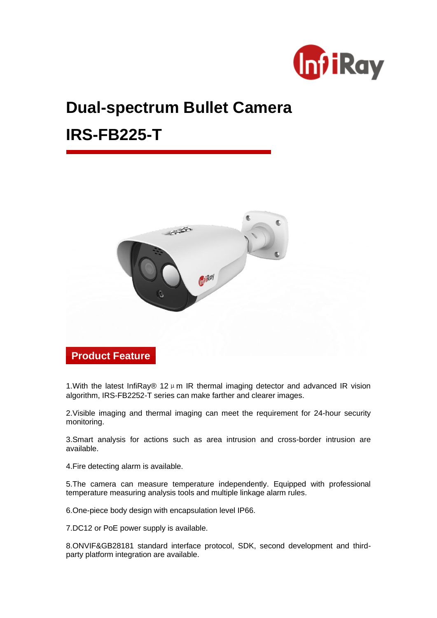

# **Dual-spectrum Bullet Camera**

## **IRS-FB225-T**



1. With the latest InfiRay® 12  $\mu$  m IR thermal imaging detector and advanced IR vision algorithm, IRS-FB2252-T series can make farther and clearer images.

2.Visible imaging and thermal imaging can meet the requirement for 24-hour security monitoring.

3.Smart analysis for actions such as area intrusion and cross-border intrusion are available.

4.Fire detecting alarm is available.

5.The camera can measure temperature independently. Equipped with professional temperature measuring analysis tools and multiple linkage alarm rules.

6.One-piece body design with encapsulation level IP66.

7.DC12 or PoE power supply is available.

8.ONVIF&GB28181 standard interface protocol, SDK, second development and thirdparty platform integration are available.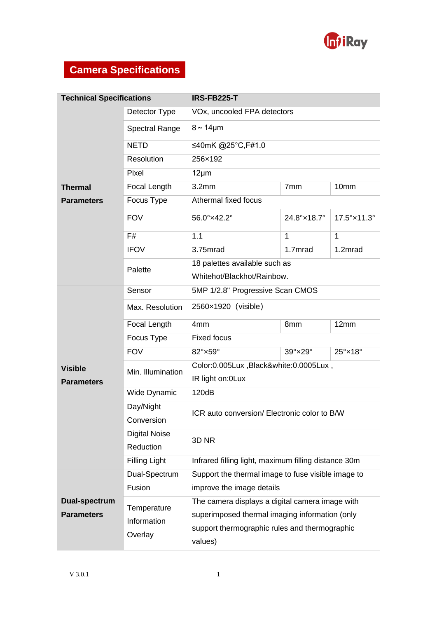

## **Camera Specifications**

| <b>Technical Specifications</b>     |                                       | IRS-FB225-T                                                                                                                                                   |              |                            |  |  |
|-------------------------------------|---------------------------------------|---------------------------------------------------------------------------------------------------------------------------------------------------------------|--------------|----------------------------|--|--|
|                                     | Detector Type                         | VOx, uncooled FPA detectors                                                                                                                                   |              |                            |  |  |
|                                     | <b>Spectral Range</b>                 | $8 \sim 14 \mu m$                                                                                                                                             |              |                            |  |  |
|                                     | <b>NETD</b>                           | ≤40mK @25°C,F#1.0                                                                                                                                             |              |                            |  |  |
|                                     | Resolution                            | 256×192                                                                                                                                                       |              |                            |  |  |
|                                     | Pixel                                 | $12 \mu m$                                                                                                                                                    |              |                            |  |  |
| <b>Thermal</b>                      | Focal Length                          | 3.2 <sub>mm</sub><br>7mm<br>10mm<br>Athermal fixed focus                                                                                                      |              |                            |  |  |
| <b>Parameters</b>                   | Focus Type                            |                                                                                                                                                               |              |                            |  |  |
|                                     | <b>FOV</b>                            | 56.0°×42.2°                                                                                                                                                   | 24.8°×18.7°  | 17.5°×11.3°                |  |  |
|                                     | F#                                    | 1.1                                                                                                                                                           | $\mathbf{1}$ | $\mathbf{1}$               |  |  |
|                                     | <b>IFOV</b>                           | 3.75mrad                                                                                                                                                      | 1.7mrad      | 1.2mrad                    |  |  |
|                                     | Palette                               | 18 palettes available such as<br>Whitehot/Blackhot/Rainbow.                                                                                                   |              |                            |  |  |
| Sensor                              |                                       |                                                                                                                                                               |              |                            |  |  |
|                                     |                                       | 5MP 1/2.8" Progressive Scan CMOS                                                                                                                              |              |                            |  |  |
|                                     | Max. Resolution                       | 2560×1920 (visible)                                                                                                                                           |              |                            |  |  |
|                                     | Focal Length                          | 4 <sub>mm</sub>                                                                                                                                               | 8mm          | 12mm                       |  |  |
|                                     | Focus Type                            | <b>Fixed focus</b>                                                                                                                                            |              |                            |  |  |
|                                     | <b>FOV</b>                            | 82°×59°                                                                                                                                                       | 39°×29°      | $25^\circ \times 18^\circ$ |  |  |
| <b>Visible</b><br><b>Parameters</b> | Min. Illumination                     | Color:0.005Lux, Black&white:0.0005Lux,<br>IR light on: OLux                                                                                                   |              |                            |  |  |
|                                     | Wide Dynamic                          | 120dB                                                                                                                                                         |              |                            |  |  |
|                                     | Day/Night<br>Conversion               | ICR auto conversion/ Electronic color to B/W                                                                                                                  |              |                            |  |  |
|                                     | <b>Digital Noise</b><br>Reduction     | 3D <sub>NR</sub>                                                                                                                                              |              |                            |  |  |
|                                     | Filling Light                         | Infrared filling light, maximum filling distance 30m                                                                                                          |              |                            |  |  |
|                                     | Dual-Spectrum                         | Support the thermal image to fuse visible image to                                                                                                            |              |                            |  |  |
|                                     | Fusion                                | improve the image details                                                                                                                                     |              |                            |  |  |
| Dual-spectrum<br><b>Parameters</b>  | Temperature<br>Information<br>Overlay | The camera displays a digital camera image with<br>superimposed thermal imaging information (only<br>support thermographic rules and thermographic<br>values) |              |                            |  |  |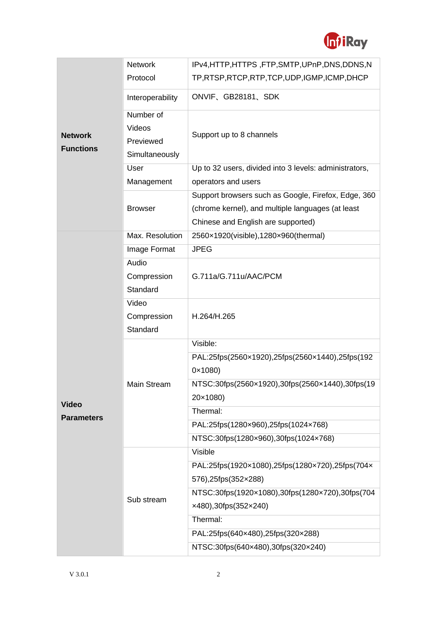

|                                    | <b>Network</b>              | IPv4,HTTP,HTTPS,FTP,SMTP,UPnP,DNS,DDNS,N                                |  |  |  |
|------------------------------------|-----------------------------|-------------------------------------------------------------------------|--|--|--|
| <b>Network</b><br><b>Functions</b> | Protocol                    | TP,RTSP,RTCP,RTP,TCP,UDP,IGMP,ICMP,DHCP                                 |  |  |  |
|                                    | Interoperability            | ONVIF、GB28181、SDK                                                       |  |  |  |
|                                    | Number of<br>Videos         | Support up to 8 channels                                                |  |  |  |
|                                    | Previewed<br>Simultaneously |                                                                         |  |  |  |
|                                    | User                        | Up to 32 users, divided into 3 levels: administrators,                  |  |  |  |
|                                    | Management                  | operators and users                                                     |  |  |  |
|                                    |                             | Support browsers such as Google, Firefox, Edge, 360                     |  |  |  |
|                                    | <b>Browser</b>              | (chrome kernel), and multiple languages (at least                       |  |  |  |
|                                    |                             | Chinese and English are supported)                                      |  |  |  |
|                                    | Max. Resolution             | 2560×1920(visible),1280×960(thermal)                                    |  |  |  |
|                                    | Image Format                | <b>JPEG</b>                                                             |  |  |  |
|                                    | Audio                       |                                                                         |  |  |  |
|                                    | Compression                 | G.711a/G.711u/AAC/PCM                                                   |  |  |  |
|                                    | Standard                    |                                                                         |  |  |  |
|                                    | Video                       |                                                                         |  |  |  |
|                                    | Compression                 | H.264/H.265                                                             |  |  |  |
|                                    | Standard                    |                                                                         |  |  |  |
|                                    |                             | Visible:                                                                |  |  |  |
|                                    |                             | PAL:25fps(2560x1920),25fps(2560x1440),25fps(192                         |  |  |  |
|                                    |                             | $0 \times 1080$                                                         |  |  |  |
|                                    | Main Stream                 | NTSC:30fps(2560x1920),30fps(2560x1440),30fps(19                         |  |  |  |
| <b>Video</b>                       |                             | 20×1080)                                                                |  |  |  |
| <b>Parameters</b>                  |                             | Thermal:                                                                |  |  |  |
|                                    |                             | PAL:25fps(1280x960),25fps(1024x768)                                     |  |  |  |
|                                    |                             | NTSC:30fps(1280×960),30fps(1024×768)                                    |  |  |  |
|                                    |                             | Visible                                                                 |  |  |  |
|                                    |                             | PAL:25fps(1920x1080),25fps(1280x720),25fps(704x                         |  |  |  |
|                                    |                             | 576),25fps(352×288)                                                     |  |  |  |
|                                    | Sub stream                  | NTSC:30fps(1920x1080),30fps(1280x720),30fps(704                         |  |  |  |
|                                    |                             | $x480$ , 30fps(352 $x240$ )                                             |  |  |  |
|                                    |                             |                                                                         |  |  |  |
|                                    |                             | Thermal:                                                                |  |  |  |
|                                    |                             | PAL:25fps(640×480),25fps(320×288)<br>NTSC:30fps(640×480),30fps(320×240) |  |  |  |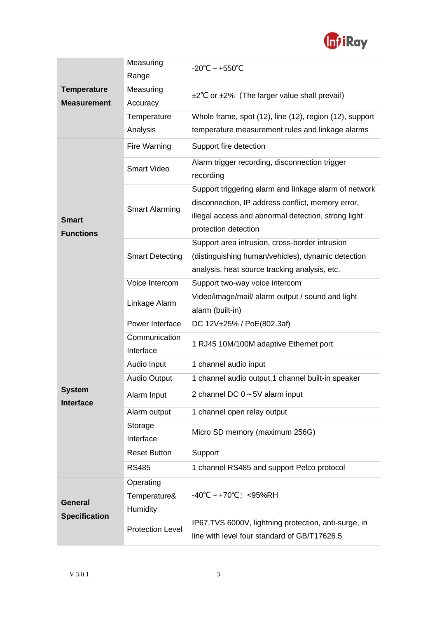

|                                        | Measuring                                    | $-20^{\circ}$ C ~ +550 $^{\circ}$ C                                                                                                                                                       |  |  |
|----------------------------------------|----------------------------------------------|-------------------------------------------------------------------------------------------------------------------------------------------------------------------------------------------|--|--|
| <b>Temperature</b>                     | Range                                        |                                                                                                                                                                                           |  |  |
|                                        | Measuring                                    | ±2°C or ±2% (The larger value shall prevail)                                                                                                                                              |  |  |
| <b>Measurement</b>                     | Accuracy                                     |                                                                                                                                                                                           |  |  |
|                                        | Temperature                                  | Whole frame, spot (12), line (12), region (12), support                                                                                                                                   |  |  |
|                                        | Analysis                                     | temperature measurement rules and linkage alarms                                                                                                                                          |  |  |
|                                        | Fire Warning                                 | Support fire detection                                                                                                                                                                    |  |  |
| <b>Smart</b><br><b>Functions</b>       | <b>Smart Video</b>                           | Alarm trigger recording, disconnection trigger<br>recording                                                                                                                               |  |  |
|                                        | <b>Smart Alarming</b>                        | Support triggering alarm and linkage alarm of network<br>disconnection, IP address conflict, memory error,<br>illegal access and abnormal detection, strong light<br>protection detection |  |  |
|                                        | <b>Smart Detecting</b>                       | Support area intrusion, cross-border intrusion<br>(distinguishing human/vehicles), dynamic detection<br>analysis, heat source tracking analysis, etc.                                     |  |  |
|                                        | Voice Intercom                               | Support two-way voice intercom                                                                                                                                                            |  |  |
|                                        | Linkage Alarm                                | Video/image/mail/ alarm output / sound and light                                                                                                                                          |  |  |
|                                        |                                              | alarm (built-in)                                                                                                                                                                          |  |  |
|                                        | Power Interface                              | DC 12V±25% / PoE(802.3af)                                                                                                                                                                 |  |  |
|                                        | Communication<br>Interface                   | 1 RJ45 10M/100M adaptive Ethernet port                                                                                                                                                    |  |  |
|                                        | Audio Input                                  | 1 channel audio input                                                                                                                                                                     |  |  |
|                                        | Audio Output                                 | 1 channel audio output, 1 channel built-in speaker                                                                                                                                        |  |  |
| <b>System</b><br><b>Interface</b>      | Alarm Input                                  | 2 channel DC $0 \sim 5V$ alarm input                                                                                                                                                      |  |  |
|                                        | Alarm output                                 | 1 channel open relay output                                                                                                                                                               |  |  |
|                                        | Storage<br>Interface                         | Micro SD memory (maximum 256G)                                                                                                                                                            |  |  |
|                                        | <b>Reset Button</b>                          | Support                                                                                                                                                                                   |  |  |
|                                        | <b>RS485</b>                                 | 1 channel RS485 and support Pelco protocol                                                                                                                                                |  |  |
| <b>General</b><br><b>Specification</b> | Operating<br>Temperature&<br><b>Humidity</b> | $-40^{\circ}C \sim +70^{\circ}C$ ; <95%RH                                                                                                                                                 |  |  |
|                                        | <b>Protection Level</b>                      | IP67, TVS 6000V, lightning protection, anti-surge, in<br>line with level four standard of GB/T17626.5                                                                                     |  |  |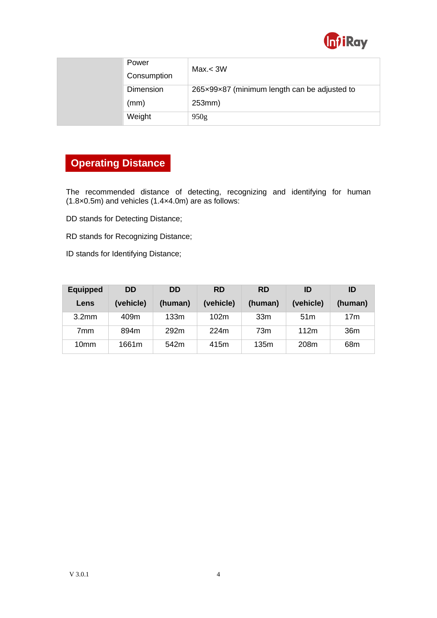

| Power<br>Consumption | Max < 3W                                     |
|----------------------|----------------------------------------------|
| Dimension            | 265x99x87 (minimum length can be adjusted to |
| (mm)                 | 253mm)                                       |
| Weight               | 950 <sub>g</sub>                             |

#### **Operating Distance**

The recommended distance of detecting, recognizing and identifying for human (1.8×0.5m) and vehicles (1.4×4.0m) are as follows:

DD stands for Detecting Distance;

RD stands for Recognizing Distance;

ID stands for Identifying Distance;

| <b>Equipped</b>   | <b>DD</b> | <b>DD</b> | <b>RD</b> | <b>RD</b>       | ID              | ID              |
|-------------------|-----------|-----------|-----------|-----------------|-----------------|-----------------|
| Lens              | (vehicle) | (human)   | (vehicle) | (human)         | (vehicle)       | (human)         |
| 3.2 <sub>mm</sub> | 409m      | 133m      | 102m      | 33 <sub>m</sub> | 51 <sub>m</sub> | 17 <sub>m</sub> |
| 7mm               | 894m      | 292m      | 224m      | 73m             | 112m            | 36m             |
| 10 <sub>mm</sub>  | 1661m     | 542m      | 415m      | 135m            | 208m            | 68m             |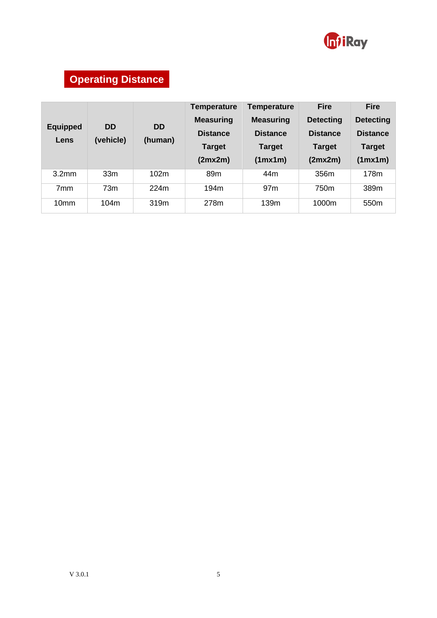

## **Operating Distance**

| <b>Equipped</b><br>Lens | <b>DD</b><br>(vehicle) | <b>DD</b><br>(human) | <b>Temperature</b><br><b>Measuring</b><br><b>Distance</b><br><b>Target</b><br>(2mx2m) | <b>Temperature</b><br><b>Measuring</b><br><b>Distance</b><br><b>Target</b><br>(1mx1m) | <b>Fire</b><br><b>Detecting</b><br><b>Distance</b><br><b>Target</b><br>(2mx2m) | <b>Fire</b><br><b>Detecting</b><br><b>Distance</b><br><b>Target</b><br>(1mx1m) |
|-------------------------|------------------------|----------------------|---------------------------------------------------------------------------------------|---------------------------------------------------------------------------------------|--------------------------------------------------------------------------------|--------------------------------------------------------------------------------|
| 3.2 <sub>mm</sub>       | 33 <sub>m</sub>        | 102m                 | 89 <sub>m</sub>                                                                       | 44m                                                                                   | 356m                                                                           | 178m                                                                           |
| 7 <sub>mm</sub>         | 73m                    | 224m                 | 194m                                                                                  | 97 <sub>m</sub>                                                                       | 750m                                                                           | 389m                                                                           |
| 10 <sub>mm</sub>        | 104m                   | 319m                 | 278m                                                                                  | 139m                                                                                  | 1000m                                                                          | 550 <sub>m</sub>                                                               |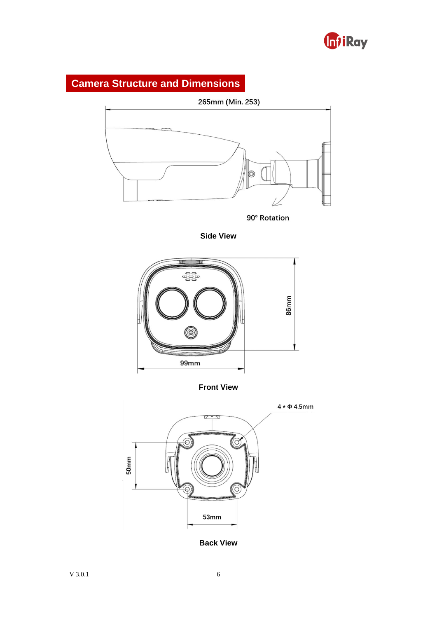

#### **Camera Structure and Dimensions**



90° Rotation

**Side View**



**Front View**



**Back View**